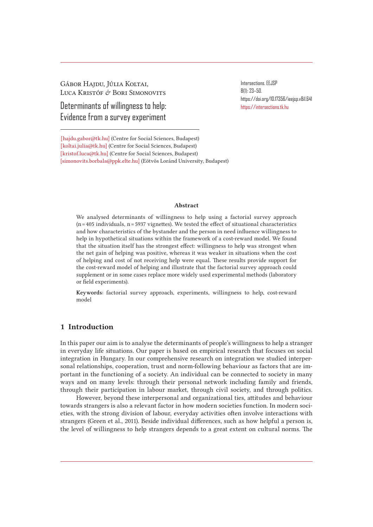Gábor Hajdu, Júlia Koltai, Luca Kristóf & Bori Simonovits

Determinants of willingness to help: Evidence from a survey experiment

Intersections. EEJSP 8(1): 23–50. https://doi.org/10.17356/ieejsp.v8i1.641 https://intersections.tk.hu

[hajdu.gabor@tk.hu] (Centre for Social Sciences, Budapest) [koltai.julia@tk.hu] (Centre for Social Sciences, Budapest) [kristof.luca@tk.hu] (Centre for Social Sciences, Budapest) [simonovits.borbala@ppk.elte.hu] (Eötvös Loránd University, Budapest)

#### Abstract

We analysed determinants of willingness to help using a factorial survey approach  $(n=405$  individuals,  $n=5937$  vignettes). We tested the effect of situational characteristics and how characteristics of the bystander and the person in need influence willingness to help in hypothetical situations within the framework of a cost-reward model. We found that the situation itself has the strongest effect: willingness to help was strongest when the net gain of helping was positive, whereas it was weaker in situations when the cost of helping and cost of not receiving help were equal. These results provide support for the cost-reward model of helping and illustrate that the factorial survey approach could supplement or in some cases replace more widely used experimental methods (laboratory or field experiments).

Keywords: factorial survey approach, experiments, willingness to help, cost-reward model

## 1 Introduction

In this paper our aim is to analyse the determinants of people's willingness to help a stranger in everyday life situations. Our paper is based on empirical research that focuses on social integration in Hungary. In our comprehensive research on integration we studied interpersonal relationships, cooperation, trust and norm-following behaviour as factors that are important in the functioning of a society. An individual can be connected to society in many ways and on many levels: through their personal network including family and friends, through their participation in labour market, through civil society, and through politics.

However, beyond these interpersonal and organizational ties, attitudes and behaviour towards strangers is also a relevant factor in how modern societies function. In modern societies, with the strong division of labour, everyday activities often involve interactions with strangers (Green et al., 2011). Beside individual differences, such as how helpful a person is, the level of willingness to help strangers depends to a great extent on cultural norms. The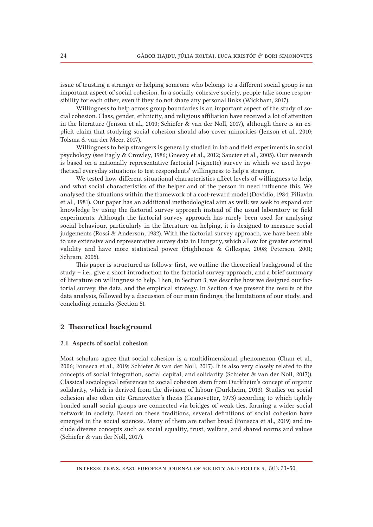issue of trusting a stranger or helping someone who belongs to a different social group is an important aspect of social cohesion. In a socially cohesive society, people take some responsibility for each other, even if they do not share any personal links (Wickham, 2017).

Willingness to help across group boundaries is an important aspect of the study of social cohesion. Class, gender, ethnicity, and religious affiliation have received a lot of attention in the literature (Jenson et al., 2010; Schiefer & van der Noll, 2017), although there is an explicit claim that studying social cohesion should also cover minorities (Jenson et al., 2010; Tolsma & van der Meer, 2017).

Willingness to help strangers is generally studied in lab and field experiments in social psychology (see Eagly & Crowley, 1986; Gneezy et al., 2012; Saucier et al., 2005). Our research is based on a nationally representative factorial (vignette) survey in which we used hypothetical everyday situations to test respondents' willingness to help a stranger.

We tested how different situational characteristics affect levels of willingness to help, and what social characteristics of the helper and of the person in need influence this. We analysed the situations within the framework of a cost-reward model (Dovidio, 1984; Piliavin et al., 1981). Our paper has an additional methodological aim as well: we seek to expand our knowledge by using the factorial survey approach instead of the usual laboratory or field experiments. Although the factorial survey approach has rarely been used for analysing social behaviour, particularly in the literature on helping, it is designed to measure social judgements (Rossi & Anderson, 1982). With the factorial survey approach, we have been able to use extensive and representative survey data in Hungary, which allow for greater external validity and have more statistical power (Highhouse & Gillespie, 2008; Peterson, 2001; Schram, 2005).

This paper is structured as follows: first, we outline the theoretical background of the study – i.e., give a short introduction to the factorial survey approach, and a brief summary of literature on willingness to help. Then, in Section 3, we describe how we designed our factorial survey, the data, and the empirical strategy. In Section 4 we present the results of the data analysis, followed by a discussion of our main findings, the limitations of our study, and concluding remarks (Section 5).

## 2 Theoretical background

#### 2.1 Aspects of social cohesion

Most scholars agree that social cohesion is a multidimensional phenomenon (Chan et al., 2006; Fonseca et al., 2019; Schiefer & van der Noll, 2017). It is also very closely related to the concepts of social integration, social capital, and solidarity (Schiefer & van der Noll, 2017)). Classical sociological references to social cohesion stem from Durkheim's concept of organic solidarity, which is derived from the division of labour (Durkheim, 2013). Studies on social cohesion also often cite Granovetter's thesis (Granovetter, 1973) according to which tightly bonded small social groups are connected via bridges of weak ties, forming a wider social network in society. Based on these traditions, several definitions of social cohesion have emerged in the social sciences. Many of them are rather broad (Fonseca et al., 2019) and include diverse concepts such as social equality, trust, welfare, and shared norms and values (Schiefer & van der Noll, 2017).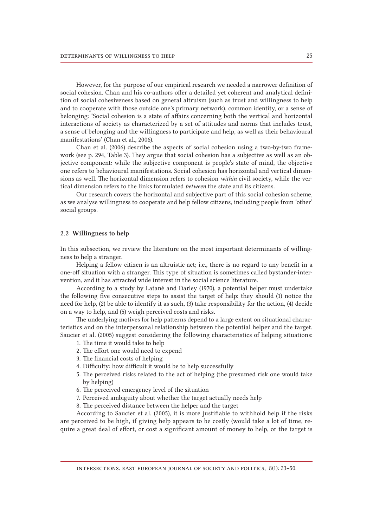However, for the purpose of our empirical research we needed a narrower definition of social cohesion. Chan and his co-authors offer a detailed yet coherent and analytical definition of social cohesiveness based on general altruism (such as trust and willingness to help and to cooperate with those outside one's primary network), common identity, or a sense of belonging: 'Social cohesion is a state of affairs concerning both the vertical and horizontal interactions of society as characterized by a set of attitudes and norms that includes trust, a sense of belonging and the willingness to participate and help, as well as their behavioural manifestations' (Chan et al., 2006).

Chan et al. (2006) describe the aspects of social cohesion using a two-by-two framework (see p. 294, Table 3). They argue that social cohesion has a subjective as well as an objective component: while the subjective component is people's state of mind, the objective one refers to behavioural manifestations. Social cohesion has horizontal and vertical dimensions as well. The horizontal dimension refers to cohesion *within* civil society, while the vertical dimension refers to the links formulated *between* the state and its citizens.

Our research covers the horizontal and subjective part of this social cohesion scheme, as we analyse willingness to cooperate and help fellow citizens, including people from 'other' social groups.

#### 2.2 Willingness to help

In this subsection, we review the literature on the most important determinants of willingness to help a stranger.

Helping a fellow citizen is an altruistic act; i.e., there is no regard to any benefit in a one-off situation with a stranger. This type of situation is sometimes called bystander-intervention, and it has attracted wide interest in the social science literature.

According to a study by Latané and Darley (1970), a potential helper must undertake the following five consecutive steps to assist the target of help: they should (1) notice the need for help, (2) be able to identify it as such, (3) take responsibility for the action, (4) decide on a way to help, and (5) weigh perceived costs and risks.

The underlying motives for help patterns depend to a large extent on situational characteristics and on the interpersonal relationship between the potential helper and the target. Saucier et al. (2005) suggest considering the following characteristics of helping situations:

- 1. The time it would take to help
- 2. The effort one would need to expend
- 3. The financial costs of helping
- 4. Difficulty: how difficult it would be to help successfully
- 5. The perceived risks related to the act of helping (the presumed risk one would take by helping)
- 6. The perceived emergency level of the situation
- 7. Perceived ambiguity about whether the target actually needs help
- 8. The perceived distance between the helper and the target

According to Saucier et al. (2005), it is more justifiable to withhold help if the risks are perceived to be high, if giving help appears to be costly (would take a lot of time, require a great deal of effort, or cost a significant amount of money to help, or the target is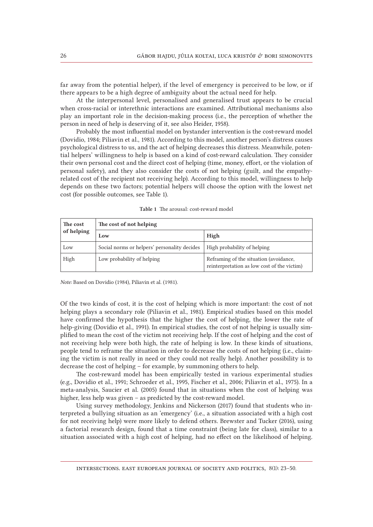far away from the potential helper), if the level of emergency is perceived to be low, or if there appears to be a high degree of ambiguity about the actual need for help.

At the interpersonal level, personalised and generalised trust appears to be crucial when cross-racial or interethnic interactions are examined. Attributional mechanisms also play an important role in the decision-making process (i.e., the perception of whether the person in need of help is deserving of it, see also Heider, 1958).

Probably the most influential model on bystander intervention is the cost-reward model (Dovidio, 1984; Piliavin et al., 1981). According to this model, another person's distress causes psychological distress to us, and the act of helping decreases this distress. Meanwhile, potential helpers' willingness to help is based on a kind of cost-reward calculation. They consider their own personal cost and the direct cost of helping (time, money, effort, or the violation of personal safety), and they also consider the costs of not helping (guilt, and the empathyrelated cost of the recipient not receiving help). According to this model, willingness to help depends on these two factors; potential helpers will choose the option with the lowest net cost (for possible outcomes, see Table 1).

| The cost<br>of helping | The cost of not helping                      |                                                                                       |  |  |  |  |  |  |
|------------------------|----------------------------------------------|---------------------------------------------------------------------------------------|--|--|--|--|--|--|
|                        | Low                                          | High                                                                                  |  |  |  |  |  |  |
| Low                    | Social norms or helpers' personality decides | High probability of helping                                                           |  |  |  |  |  |  |
| High                   | Low probability of helping                   | Reframing of the situation (avoidance,<br>reinterpretation as low cost of the victim) |  |  |  |  |  |  |

Table 1 The arousal: cost-reward model

*Note:* Based on Dovidio (1984), Piliavin et al. (1981).

Of the two kinds of cost, it is the cost of helping which is more important: the cost of not helping plays a secondary role (Piliavin et al., 1981). Empirical studies based on this model have confirmed the hypothesis that the higher the cost of helping, the lower the rate of help-giving (Dovidio et al., 1991). In empirical studies, the cost of not helping is usually simplified to mean the cost of the victim not receiving help. If the cost of helping and the cost of not receiving help were both high, the rate of helping is low. In these kinds of situations, people tend to reframe the situation in order to decrease the costs of not helping (i.e., claiming the victim is not really in need or they could not really help). Another possibility is to decrease the cost of helping – for example, by summoning others to help.

The cost-reward model has been empirically tested in various experimental studies (e.g., Dovidio et al., 1991; Schroeder et al., 1995, Fischer et al., 2006; Piliavin et al., 1975). In a meta-analysis, Saucier et al. (2005) found that in situations when the cost of helping was higher, less help was given – as predicted by the cost-reward model.

Using survey methodology, Jenkins and Nickerson (2017) found that students who interpreted a bullying situation as an 'emergency' (i.e., a situation associated with a high cost for not receiving help) were more likely to defend others. Brewster and Tucker (2016), using a factorial research design, found that a time constraint (being late for class), similar to a situation associated with a high cost of helping, had no effect on the likelihood of helping.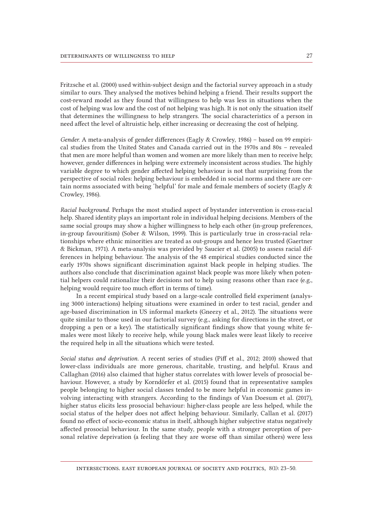Fritzsche et al. (2000) used within-subject design and the factorial survey approach in a study similar to ours. They analysed the motives behind helping a friend. Their results support the cost-reward model as they found that willingness to help was less in situations when the cost of helping was low and the cost of not helping was high. It is not only the situation itself that determines the willingness to help strangers. The social characteristics of a person in need affect the level of altruistic help, either increasing or decreasing the cost of helping.

*Gender.* A meta-analysis of gender differences (Eagly & Crowley, 1986) – based on 99 empirical studies from the United States and Canada carried out in the 1970s and 80s – revealed that men are more helpful than women and women are more likely than men to receive help; however, gender differences in helping were extremely inconsistent across studies. The highly variable degree to which gender affected helping behaviour is not that surprising from the perspective of social roles: helping behaviour is embedded in social norms and there are certain norms associated with being 'helpful' for male and female members of society (Eagly & Crowley, 1986).

*Racial background.* Perhaps the most studied aspect of bystander intervention is cross-racial help. Shared identity plays an important role in individual helping decisions. Members of the same social groups may show a higher willingness to help each other (in-group preferences, in-group favouritism) (Sober & Wilson, 1999). This is particularly true in cross-racial relationships where ethnic minorities are treated as out-groups and hence less trusted (Gaertner & Bickman, 1971). A meta-analysis was provided by Saucier et al. (2005) to assess racial differences in helping behaviour. The analysis of the 48 empirical studies conducted since the early 1970s shows significant discrimination against black people in helping studies. The authors also conclude that discrimination against black people was more likely when potential helpers could rationalize their decisions not to help using reasons other than race (e.g., helping would require too much effort in terms of time).

In a recent empirical study based on a large-scale controlled field experiment (analysing 3000 interactions) helping situations were examined in order to test racial, gender and age-based discrimination in US informal markets (Gneezy et al., 2012). The situations were quite similar to those used in our factorial survey (e.g., asking for directions in the street, or dropping a pen or a key). The statistically significant findings show that young white females were most likely to receive help, while young black males were least likely to receive the required help in all the situations which were tested.

*Social status and deprivation.* A recent series of studies (Piff et al., 2012; 2010) showed that lower-class individuals are more generous, charitable, trusting, and helpful. Kraus and Callaghan (2016) also claimed that higher status correlates with lower levels of prosocial behaviour. However, a study by Korndörfer et al. (2015) found that in representative samples people belonging to higher social classes tended to be more helpful in economic games involving interacting with strangers. According to the findings of Van Doesum et al. (2017), higher status elicits less prosocial behaviour: higher-class people are less helped, while the social status of the helper does not affect helping behaviour. Similarly, Callan et al. (2017) found no effect of socio-economic status in itself, although higher subjective status negatively affected prosocial behaviour. In the same study, people with a stronger perception of personal relative deprivation (a feeling that they are worse off than similar others) were less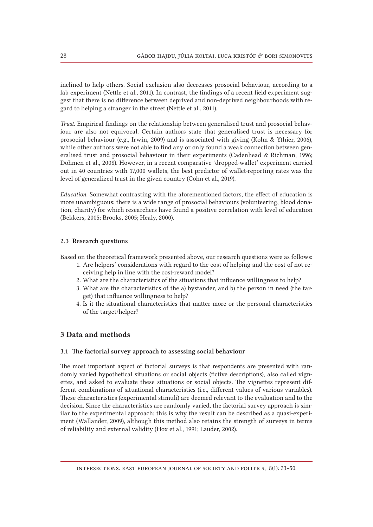inclined to help others. Social exclusion also decreases prosocial behaviour, according to a lab experiment (Nettle et al., 2011). In contrast, the findings of a recent field experiment suggest that there is no difference between deprived and non-deprived neighbourhoods with regard to helping a stranger in the street (Nettle et al., 2011).

*Trust.* Empirical findings on the relationship between generalised trust and prosocial behaviour are also not equivocal. Certain authors state that generalised trust is necessary for prosocial behaviour (e.g., Irwin, 2009) and is associated with giving (Kolm & Ythier, 2006), while other authors were not able to find any or only found a weak connection between generalised trust and prosocial behaviour in their experiments (Cadenhead & Richman, 1996; Dohmen et al., 2008). However, in a recent comparative 'dropped-wallet' experiment carried out in 40 countries with 17,000 wallets, the best predictor of wallet-reporting rates was the level of generalized trust in the given country (Cohn et al., 2019).

*Education.* Somewhat contrasting with the aforementioned factors, the effect of education is more unambiguous: there is a wide range of prosocial behaviours (volunteering, blood donation, charity) for which researchers have found a positive correlation with level of education (Bekkers, 2005; Brooks, 2005; Healy, 2000).

#### 2.3 Research questions

Based on the theoretical framework presented above, our research questions were as follows:

- 1. Are helpers' considerations with regard to the cost of helping and the cost of not receiving help in line with the cost-reward model?
- 2. What are the characteristics of the situations that influence willingness to help?
- 3. What are the characteristics of the a) bystander, and b) the person in need (the target) that influence willingness to help?
- 4. Is it the situational characteristics that matter more or the personal characteristics of the target/helper?

## 3 Data and methods

#### 3.1 The factorial survey approach to assessing social behaviour

The most important aspect of factorial surveys is that respondents are presented with randomly varied hypothetical situations or social objects (fictive descriptions), also called vignettes, and asked to evaluate these situations or social objects. The vignettes represent different combinations of situational characteristics (i.e., different values of various variables). These characteristics (experimental stimuli) are deemed relevant to the evaluation and to the decision. Since the characteristics are randomly varied, the factorial survey approach is similar to the experimental approach; this is why the result can be described as a quasi-experiment (Wallander, 2009), although this method also retains the strength of surveys in terms of reliability and external validity (Hox et al., 1991; Lauder, 2002).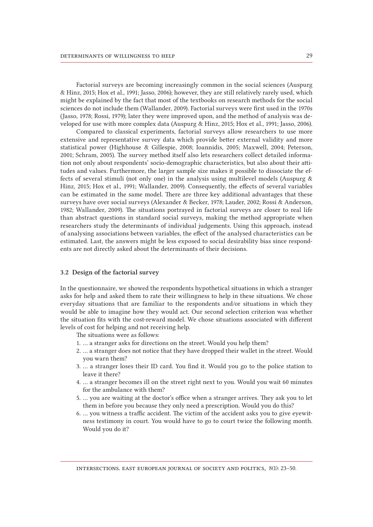Factorial surveys are becoming increasingly common in the social sciences (Auspurg & Hinz, 2015; Hox et al., 1991; Jasso, 2006); however, they are still relatively rarely used, which might be explained by the fact that most of the textbooks on research methods for the social sciences do not include them (Wallander, 2009). Factorial surveys were first used in the 1970s (Jasso, 1978; Rossi, 1979); later they were improved upon, and the method of analysis was developed for use with more complex data (Auspurg & Hinz, 2015; Hox et al., 1991; Jasso, 2006).

Compared to classical experiments, factorial surveys allow researchers to use more extensive and representative survey data which provide better external validity and more statistical power (Highhouse & Gillespie, 2008; Ioannidis, 2005; Maxwell, 2004; Peterson, 2001; Schram, 2005). The survey method itself also lets researchers collect detailed information not only about respondents' socio-demographic characteristics, but also about their attitudes and values. Furthermore, the larger sample size makes it possible to dissociate the effects of several stimuli (not only one) in the analysis using multilevel models (Auspurg & Hinz, 2015; Hox et al., 1991; Wallander, 2009). Consequently, the effects of several variables can be estimated in the same model. There are three key additional advantages that these surveys have over social surveys (Alexander & Becker, 1978; Lauder, 2002; Rossi & Anderson, 1982; Wallander, 2009). The situations portrayed in factorial surveys are closer to real life than abstract questions in standard social surveys, making the method appropriate when researchers study the determinants of individual judgements. Using this approach, instead of analysing associations between variables, the effect of the analysed characteristics can be estimated. Last, the answers might be less exposed to social desirability bias since respondents are not directly asked about the determinants of their decisions.

#### 3.2 Design of the factorial survey

In the questionnaire, we showed the respondents hypothetical situations in which a stranger asks for help and asked them to rate their willingness to help in these situations. We chose everyday situations that are familiar to the respondents and/or situations in which they would be able to imagine how they would act. Our second selection criterion was whether the situation fits with the cost-reward model. We chose situations associated with different levels of cost for helping and not receiving help.

The situations were as follows:

- 1. … a stranger asks for directions on the street. Would you help them?
- 2. … a stranger does not notice that they have dropped their wallet in the street. Would you warn them?
- 3. … a stranger loses their ID card. You find it. Would you go to the police station to leave it there?
- 4. … a stranger becomes ill on the street right next to you. Would you wait 60 minutes for the ambulance with them?
- 5. … you are waiting at the doctor's office when a stranger arrives. They ask you to let them in before you because they only need a prescription. Would you do this?
- 6. … you witness a traffic accident. The victim of the accident asks you to give eyewitness testimony in court. You would have to go to court twice the following month. Would you do it?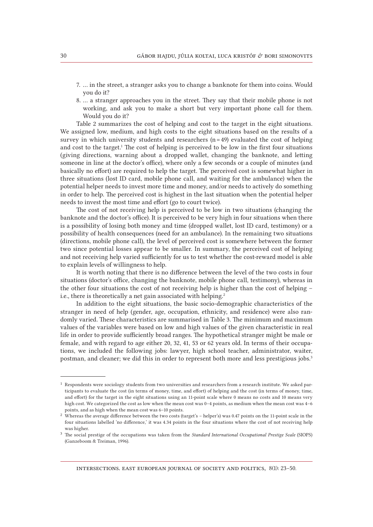- 7. … in the street, a stranger asks you to change a banknote for them into coins. Would you do it?
- 8. … a stranger approaches you in the street. They say that their mobile phone is not working, and ask you to make a short but very important phone call for them. Would you do it?

Table 2 summarizes the cost of helping and cost to the target in the eight situations. We assigned low, medium, and high costs to the eight situations based on the results of a survey in which university students and researchers  $(n=49)$  evaluated the cost of helping and cost to the target.<sup>1</sup> The cost of helping is perceived to be low in the first four situations (giving directions, warning about a dropped wallet, changing the banknote, and letting someone in line at the doctor's office), where only a few seconds or a couple of minutes (and basically no effort) are required to help the target. The perceived cost is somewhat higher in three situations (lost ID card, mobile phone call, and waiting for the ambulance) when the potential helper needs to invest more time and money, and/or needs to actively do something in order to help. The perceived cost is highest in the last situation when the potential helper needs to invest the most time and effort (go to court twice).

The cost of not receiving help is perceived to be low in two situations (changing the banknote and the doctor's office). It is perceived to be very high in four situations when there is a possibility of losing both money and time (dropped wallet, lost ID card, testimony) or a possibility of health consequences (need for an ambulance). In the remaining two situations (directions, mobile phone call), the level of perceived cost is somewhere between the former two since potential losses appear to be smaller. In summary, the perceived cost of helping and not receiving help varied sufficiently for us to test whether the cost-reward model is able to explain levels of willingness to help.

It is worth noting that there is no difference between the level of the two costs in four situations (doctor's office, changing the banknote, mobile phone call, testimony), whereas in the other four situations the cost of not receiving help is higher than the cost of helping – i.e., there is theoretically a net gain associated with helping.<sup>2</sup>

In addition to the eight situations, the basic socio-demographic characteristics of the stranger in need of help (gender, age, occupation, ethnicity, and residence) were also randomly varied. These characteristics are summarised in Table 3. The minimum and maximum values of the variables were based on low and high values of the given characteristic in real life in order to provide sufficiently broad ranges. The hypothetical stranger might be male or female, and with regard to age either 20, 32, 41, 53 or 62 years old. In terms of their occupations, we included the following jobs: lawyer, high school teacher, administrator, waiter, postman, and cleaner; we did this in order to represent both more and less prestigious jobs.3

 $1$  Respondents were sociology students from two universities and researchers from a research institute. We asked participants to evaluate the cost (in terms of money, time, and effort) of helping and the cost (in terms of money, time, and effort) for the target in the eight situations using an 11-point scale where 0 means no costs and 10 means very high cost. We categorized the cost as low when the mean cost was 0–4 points, as medium when the mean cost was 4–6 points, and as high when the mean cost was 6–10 points.

<sup>&</sup>lt;sup>2</sup> Whereas the average difference between the two costs (target's – helper's) was 0.47 points on the 11-point scale in the four situations labelled 'no difference,' it was 4.34 points in the four situations where the cost of not receiving help was higher.

<sup>3</sup> The social prestige of the occupations was taken from the *Standard International Occupational Prestige Scale* (SIOPS) (Ganzeboom & Treiman, 1996).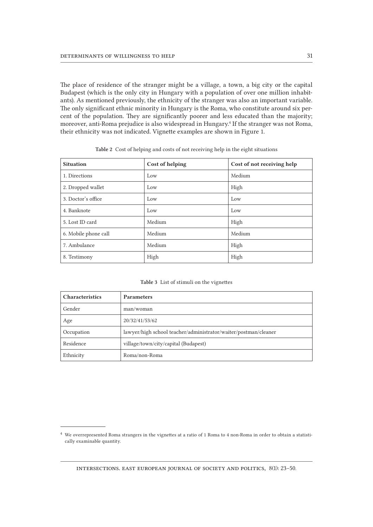The place of residence of the stranger might be a village, a town, a big city or the capital Budapest (which is the only city in Hungary with a population of over one million inhabitants). As mentioned previously, the ethnicity of the stranger was also an important variable. The only significant ethnic minority in Hungary is the Roma, who constitute around six percent of the population. They are significantly poorer and less educated than the majority; moreover, anti-Roma prejudice is also widespread in Hungary.<sup>4</sup> If the stranger was not Roma, their ethnicity was not indicated. Vignette examples are shown in Figure 1.

| <b>Situation</b>     | Cost of helping | Cost of not receiving help |
|----------------------|-----------------|----------------------------|
| 1. Directions        | Low             | Medium                     |
| 2. Dropped wallet    | Low             | High                       |
| 3. Doctor's office   | Low             | Low                        |
| 4. Banknote          | Low             | Low                        |
| 5. Lost ID card      | Medium          | High                       |
| 6. Mobile phone call | Medium          | Medium                     |
| 7. Ambulance         | Medium          | High                       |
| 8. Testimony         | High            | High                       |

Table 2 Cost of helping and costs of not receiving help in the eight situations

| <b>Characteristics</b> | <b>Parameters</b>                                               |
|------------------------|-----------------------------------------------------------------|
| Gender                 | man/woman                                                       |
| Age                    | 20/32/41/53/62                                                  |
| Occupation             | lawyer/high school teacher/administrator/waiter/postman/cleaner |
| Residence              | village/town/city/capital (Budapest)                            |
| Ethnicity              | Roma/non-Roma                                                   |

<sup>4</sup> We overrepresented Roma strangers in the vignettes at a ratio of 1 Roma to 4 non-Roma in order to obtain a statistically examinable quantity.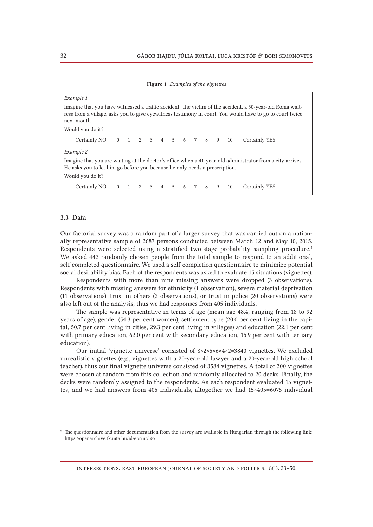| Example 1                                                                                                                                                                                                                           |  |  |  |  |  |  |  |  |  |  |                                                                                                           |
|-------------------------------------------------------------------------------------------------------------------------------------------------------------------------------------------------------------------------------------|--|--|--|--|--|--|--|--|--|--|-----------------------------------------------------------------------------------------------------------|
| Imagine that you have witnessed a traffic accident. The victim of the accident, a 50-year-old Roma wait-<br>ress from a village, asks you to give eyewitness testimony in court. You would have to go to court twice<br>next month. |  |  |  |  |  |  |  |  |  |  |                                                                                                           |
| Would you do it?                                                                                                                                                                                                                    |  |  |  |  |  |  |  |  |  |  |                                                                                                           |
| Certainly NO   0   1   2   3   4   5   6   7   8   9   10                                                                                                                                                                           |  |  |  |  |  |  |  |  |  |  | Certainly YES                                                                                             |
| Example 2                                                                                                                                                                                                                           |  |  |  |  |  |  |  |  |  |  |                                                                                                           |
| He asks you to let him go before you because he only needs a prescription.                                                                                                                                                          |  |  |  |  |  |  |  |  |  |  | Imagine that you are waiting at the doctor's office when a 41-year-old administrator from a city arrives. |
| Would you do it?                                                                                                                                                                                                                    |  |  |  |  |  |  |  |  |  |  |                                                                                                           |
| Certainly NO   0   1   2   3   4   5   6   7   8   9   10                                                                                                                                                                           |  |  |  |  |  |  |  |  |  |  | Certainly YES                                                                                             |
|                                                                                                                                                                                                                                     |  |  |  |  |  |  |  |  |  |  |                                                                                                           |

#### 3.3 Data

Our factorial survey was a random part of a larger survey that was carried out on a nationally representative sample of 2687 persons conducted between March 12 and May 10, 2015. Respondents were selected using a stratified two-stage probability sampling procedure.5 We asked 442 randomly chosen people from the total sample to respond to an additional, self-completed questionnaire. We used a self-completion questionnaire to minimize potential social desirability bias. Each of the respondents was asked to evaluate 15 situations (vignettes).

Respondents with more than nine missing answers were dropped (3 observations). Respondents with missing answers for ethnicity (1 observation), severe material deprivation (11 observations), trust in others (2 observations), or trust in police (20 observations) were also left out of the analysis, thus we had responses from 405 individuals.

The sample was representative in terms of age (mean age 48.4, ranging from 18 to 92 years of age), gender (54.3 per cent women), settlement type (20.0 per cent living in the capital, 50.7 per cent living in cities, 29.3 per cent living in villages) and education (22.1 per cent with primary education, 62.0 per cent with secondary education, 15.9 per cent with tertiary education).

Our initial 'vignette universe' consisted of 8×2×5×6×4×2=3840 vignettes. We excluded unrealistic vignettes (e.g., vignettes with a 20-year-old lawyer and a 20-year-old high school teacher), thus our final vignette universe consisted of 3584 vignettes. A total of 300 vignettes were chosen at random from this collection and randomly allocated to 20 decks. Finally, the decks were randomly assigned to the respondents. As each respondent evaluated 15 vignettes, and we had answers from 405 individuals, altogether we had 15×405=6075 individual

<sup>5</sup> The questionnaire and other documentation from the survey are available in Hungarian through the following link: https://openarchive.tk.mta.hu/id/eprint/387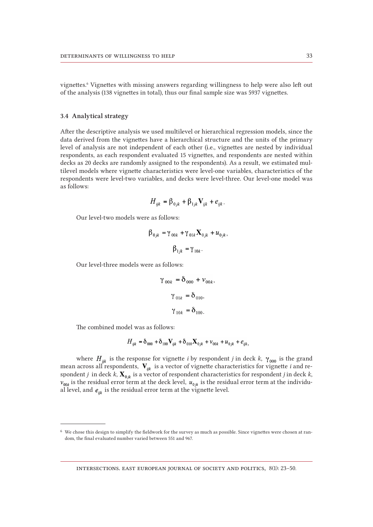vignettes.6 Vignettes with missing answers regarding willingness to help were also left out of the analysis (138 vignettes in total), thus our final sample size was 5937 vignettes.

#### 3.4 Analytical strategy

After the descriptive analysis we used multilevel or hierarchical regression models, since the data derived from the vignettes have a hierarchical structure and the units of the primary level of analysis are not independent of each other (i.e., vignettes are nested by individual respondents, as each respondent evaluated 15 vignettes, and respondents are nested within decks as 20 decks are randomly assigned to the respondents). As a result, we estimated multilevel models where vignette characteristics were level-one variables, characteristics of the respondents were level-two variables, and decks were level-three. Our level-one model was as follows:

$$
H_{ijk} = \beta_{0jk} + \beta_{1jk} \mathbf{V}_{ijk} + e_{ijk}.
$$

Our level-two models were as follows:

$$
\beta_{0jk} = \gamma_{00k} + \gamma_{01k} \mathbf{X}_{0jk} + u_{0jk},
$$
  

$$
\beta_{1jk} = \gamma_{10k}.
$$

Our level-three models were as follows:

$$
\gamma_{00k} = \delta_{000} + \nu_{00k},
$$
  
\n $\gamma_{01k} = \delta_{010},$   
\n $\gamma_{10k} = \delta_{100}.$ 

The combined model was as follows:

$$
H_{ijk} = \delta_{000} + \delta_{100} \mathbf{V}_{ijk} + \delta_{010} \mathbf{X}_{0jk} + v_{00k} + u_{0jk} + e_{ijk},
$$

where  $H_{ijk}$  is the response for vignette *i* by respondent *j* in deck *k*,  $\gamma_{000}$  is the grand mean across all respondents,  $\mathbf{V}_{ijk}$  is a vector of vignette characteristics for vignette *i* and respondent *j* in deck  $k$ ,  $\mathbf{X}_{0ik}$  is a vector of respondent characteristics for respondent *j* in deck  $k$ ,  $v_{00k}$  is the residual error term at the deck level,  $u_{0jk}$  is the residual error term at the individual level, and  $e_{ijk}$  is the residual error term at the vignette level.

<sup>6</sup> We chose this design to simplify the fieldwork for the survey as much as possible. Since vignettes were chosen at random, the final evaluated number varied between 551 and 967.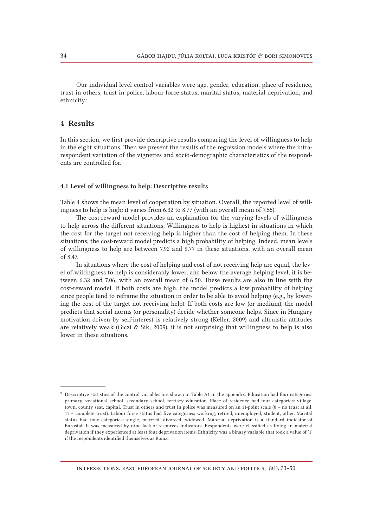Our individual-level control variables were age, gender, education, place of residence, trust in others, trust in police, labour force status, marital status, material deprivation, and ethnicity.7

## 4 Results

In this section, we first provide descriptive results comparing the level of willingness to help in the eight situations. Then we present the results of the regression models where the intrarespondent variation of the vignettes and socio-demographic characteristics of the respondents are controlled for.

#### 4.1 Level of willingness to help: Descriptive results

Table 4 shows the mean level of cooperation by situation. Overall, the reported level of willingness to help is high: it varies from 6.32 to 8.77 (with an overall mean of 7.55).

The cost-reward model provides an explanation for the varying levels of willingness to help across the different situations. Willingness to help is highest in situations in which the cost for the target not receiving help is higher than the cost of helping them. In these situations, the cost-reward model predicts a high probability of helping. Indeed, mean levels of willingness to help are between 7.92 and 8.77 in these situations, with an overall mean of 8.47.

In situations where the cost of helping and cost of not receiving help are equal, the level of willingness to help is considerably lower, and below the average helping level; it is between 6.32 and 7.06, with an overall mean of 6.50. These results are also in line with the cost-reward model. If both costs are high, the model predicts a low probability of helping since people tend to reframe the situation in order to be able to avoid helping (e.g., by lowering the cost of the target not receiving help). If both costs are low (or medium), the model predicts that social norms (or personality) decide whether someone helps. Since in Hungary motivation driven by self-interest is relatively strong (Keller, 2009) and altruistic attitudes are relatively weak (Giczi & Sik, 2009), it is not surprising that willingness to help is also lower in these situations.

 $7$  Descriptive statistics of the control variables are shown in Table A1 in the appendix. Education had four categories: primary, vocational school, secondary school, tertiary education. Place of residence had four categories: village, town, county seat, capital. Trust in others and trust in police was measured on an 11-point scale (0 – no trust at all, 11 – complete trust). Labour force status had five categories: working, retired, unemployed, student, other. Marital status had four categories: single, married, divorced, widowed. Material deprivation is a standard indicator of Eurostat. It was measured by nine lack-of-resources indicators. Respondents were classified as living in material deprivation if they experienced at least four deprivation items. Ethnicity was a binary variable that took a value of '1' if the respondents identified themselves as Roma.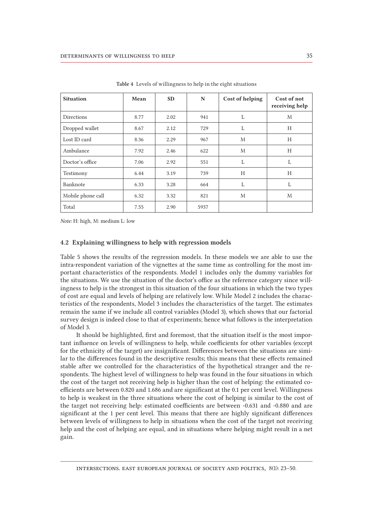| <b>Situation</b>  | Mean | <b>SD</b> | N    | Cost of helping | Cost of not<br>receiving help |
|-------------------|------|-----------|------|-----------------|-------------------------------|
| <b>Directions</b> | 8.77 | 2.02      | 941  | L               | M                             |
| Dropped wallet    | 8.67 | 2.12      | 729  | L               | H                             |
| Lost ID card      | 8.36 | 2.29      | 967  | M               | H                             |
| Ambulance         | 7.92 | 2.46      | 622  | M               | H                             |
| Doctor's office   | 7.06 | 2.92      | 551  | L               | L                             |
| Testimony         | 6.44 | 3.19      | 739  | H               | H                             |
| Banknote          | 6.33 | 3.28      | 664  | L               | L                             |
| Mobile phone call | 6.32 | 3.32      | 821  | M               | M                             |
| Total             | 7.55 | 2.90      | 5937 |                 |                               |

Table 4 Levels of willingness to help in the eight situations

*Note:* H: high, M: medium L: low

#### 4.2 Explaining willingness to help with regression models

Table 5 shows the results of the regression models. In these models we are able to use the intra-respondent variation of the vignettes at the same time as controlling for the most important characteristics of the respondents. Model 1 includes only the dummy variables for the situations. We use the situation of the doctor's office as the reference category since willingness to help is the strongest in this situation of the four situations in which the two types of cost are equal and levels of helping are relatively low. While Model 2 includes the characteristics of the respondents, Model 3 includes the characteristics of the target. The estimates remain the same if we include all control variables (Model 3), which shows that our factorial survey design is indeed close to that of experiments; hence what follows is the interpretation of Model 3.

It should be highlighted, first and foremost, that the situation itself is the most important influence on levels of willingness to help, while coefficients for other variables (except for the ethnicity of the target) are insignificant. Differences between the situations are similar to the differences found in the descriptive results; this means that these effects remained stable after we controlled for the characteristics of the hypothetical stranger and the respondents. The highest level of willingness to help was found in the four situations in which the cost of the target not receiving help is higher than the cost of helping: the estimated coefficients are between 0.820 and 1.686 and are significant at the 0.1 per cent level. Willingness to help is weakest in the three situations where the cost of helping is similar to the cost of the target not receiving help: estimated coefficients are between -0.631 and -0.880 and are significant at the 1 per cent level. This means that there are highly significant differences between levels of willingness to help in situations when the cost of the target not receiving help and the cost of helping are equal, and in situations where helping might result in a net gain.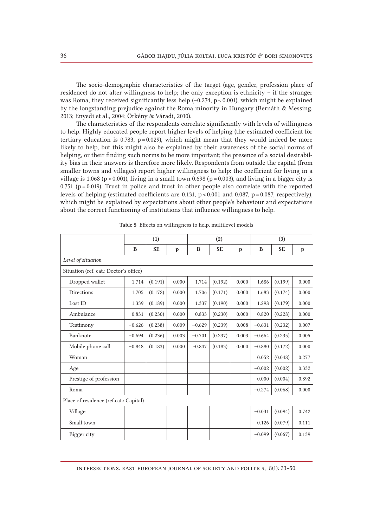The socio-demographic characteristics of the target (age, gender, profession place of residence) do not alter willingness to help; the only exception is ethnicity – if the stranger was Roma, they received significantly less help (-0.274, p < 0.001), which might be explained by the longstanding prejudice against the Roma minority in Hungary (Bernáth & Messing, 2013; Enyedi et al., 2004; Örkény & Váradi, 2010).

The characteristics of the respondents correlate significantly with levels of willingness to help. Highly educated people report higher levels of helping (the estimated coefficient for tertiary education is 0.783,  $p = 0.029$ , which might mean that they would indeed be more likely to help, but this might also be explained by their awareness of the social norms of helping, or their finding such norms to be more important; the presence of a social desirability bias in their answers is therefore more likely. Respondents from outside the capital (from smaller towns and villages) report higher willingness to help: the coefficient for living in a village is 1.068 (p < 0.001), living in a small town 0.698 (p = 0.003), and living in a bigger city is 0.751 ( $p = 0.019$ ). Trust in police and trust in other people also correlate with the reported levels of helping (estimated coefficients are  $0.131$ ,  $p < 0.001$  and  $0.087$ ,  $p = 0.087$ , respectively), which might be explained by expectations about other people's behaviour and expectations about the correct functioning of institutions that influence willingness to help.

|                                        | (1)      |           |              |          | (2)       |              | (3)      |           |              |
|----------------------------------------|----------|-----------|--------------|----------|-----------|--------------|----------|-----------|--------------|
|                                        | B        | <b>SE</b> | $\mathbf{p}$ | B        | <b>SE</b> | $\mathbf{p}$ | B        | <b>SE</b> | $\mathbf{p}$ |
| Level of situation                     |          |           |              |          |           |              |          |           |              |
| Situation (ref. cat.: Doctor's office) |          |           |              |          |           |              |          |           |              |
| Dropped wallet                         | 1.714    | (0.191)   | 0.000        | 1.714    | (0.192)   | 0.000        | 1.686    | (0.199)   | 0.000        |
| Directions                             | 1.705    | (0.172)   | 0.000        | 1.706    | (0.171)   | 0.000        | 1.683    | (0.174)   | 0.000        |
| Lost ID                                | 1.339    | (0.189)   | 0.000        | 1.337    | (0.190)   | 0.000        | 1.298    | (0.179)   | 0.000        |
| Ambulance                              | 0.831    | (0.230)   | 0.000        | 0.833    | (0.230)   | 0.000        | 0.820    | (0.228)   | 0.000        |
| Testimony                              | $-0.626$ | (0.238)   | 0.009        | $-0.629$ | (0.239)   | 0.008        | $-0.631$ | (0.232)   | 0.007        |
| Banknote                               | $-0.694$ | (0.236)   | 0.003        | $-0.701$ | (0.237)   | 0.003        | $-0.664$ | (0.235)   | 0.005        |
| Mobile phone call                      | $-0.848$ | (0.183)   | 0.000        | $-0.847$ | (0.183)   | 0.000        | $-0.880$ | (0.172)   | 0.000        |
| Woman                                  |          |           |              |          |           |              | 0.052    | (0.048)   | 0.277        |
| Age                                    |          |           |              |          |           |              | $-0.002$ | (0.002)   | 0.332        |
| Prestige of profession                 |          |           |              |          |           |              | 0.000    | (0.004)   | 0.892        |
| Roma                                   |          |           |              |          |           |              | $-0.274$ | (0.068)   | 0.000        |
| Place of residence (ref.cat.: Capital) |          |           |              |          |           |              |          |           |              |
| Village                                |          |           |              |          |           |              | $-0.031$ | (0.094)   | 0.742        |
| Small town                             |          |           |              |          |           |              | 0.126    | (0.079)   | 0.111        |
| Bigger city                            |          |           |              |          |           |              | $-0.099$ | (0.067)   | 0.139        |

Table 5 Effects on willingness to help, multilevel models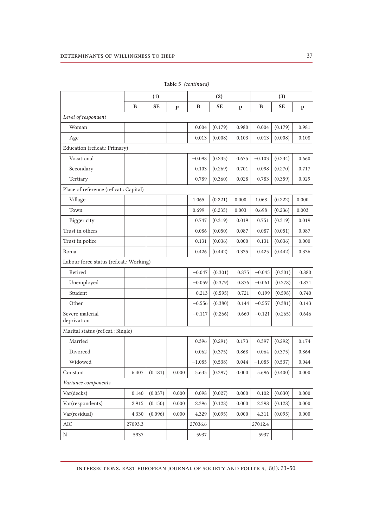|                                         | (1)     |           |              |          | (2)       |              | (3)      |           |             |
|-----------------------------------------|---------|-----------|--------------|----------|-----------|--------------|----------|-----------|-------------|
|                                         | B       | <b>SE</b> | $\mathbf{p}$ | B        | <b>SE</b> | $\mathbf{p}$ | B        | <b>SE</b> | $\mathbf p$ |
| Level of respondent                     |         |           |              |          |           |              |          |           |             |
| Woman                                   |         |           |              | 0.004    | (0.179)   | 0.980        | 0.004    | (0.179)   | 0.981       |
| Age                                     |         |           |              | 0.013    | (0.008)   | 0.103        | 0.013    | (0.008)   | 0.108       |
| Education (ref.cat.: Primary)           |         |           |              |          |           |              |          |           |             |
| Vocational                              |         |           |              | $-0.098$ | (0.235)   | 0.675        | $-0.103$ | (0.234)   | 0.660       |
| Secondary                               |         |           |              | 0.103    | (0.269)   | 0.701        | 0.098    | (0.270)   | 0.717       |
| Tertiary                                |         |           |              | 0.789    | (0.360)   | 0.028        | 0.783    | (0.359)   | 0.029       |
| Place of reference (ref.cat.: Capital)  |         |           |              |          |           |              |          |           |             |
| Village                                 |         |           |              | 1.065    | (0.221)   | 0.000        | 1.068    | (0.222)   | 0.000       |
| Town                                    |         |           |              | 0.699    | (0.235)   | 0.003        | 0.698    | (0.236)   | 0.003       |
| Bigger city                             |         |           |              | 0.747    | (0.319)   | 0.019        | 0.751    | (0.319)   | 0.019       |
| Trust in others                         |         |           |              | 0.086    | (0.050)   | 0.087        | 0.087    | (0.051)   | 0.087       |
| Trust in police                         |         |           |              | 0.131    | (0.036)   | 0.000        | 0.131    | (0.036)   | 0.000       |
| Roma                                    |         |           |              | 0.426    | (0.442)   | 0.335        | 0.425    | (0.442)   | 0.336       |
| Labour force status (ref.cat.: Working) |         |           |              |          |           |              |          |           |             |
| Retired                                 |         |           |              | $-0.047$ | (0.301)   | 0.875        | $-0.045$ | (0.301)   | 0.880       |
| Unemployed                              |         |           |              | $-0.059$ | (0.379)   | 0.876        | $-0.061$ | (0.378)   | 0.871       |
| Student                                 |         |           |              | 0.213    | (0.595)   | 0.721        | 0.199    | (0.598)   | 0.740       |
| Other                                   |         |           |              | $-0.556$ | (0.380)   | 0.144        | $-0.557$ | (0.381)   | 0.143       |
| Severe material<br>deprivation          |         |           |              | $-0.117$ | (0.266)   | 0.660        | $-0.121$ | (0.265)   | 0.646       |
| Marital status (ref.cat.: Single)       |         |           |              |          |           |              |          |           |             |
| Married                                 |         |           |              | 0.396    | (0.291)   | 0.173        | 0.397    | (0.292)   | 0.174       |
| Divorced                                |         |           |              | 0.062    | (0.375)   | 0.868        | 0.064    | (0.375)   | 0.864       |
| Widowed                                 |         |           |              | $-1.085$ | (0.538)   | 0.044        | $-1.085$ | (0.537)   | 0.044       |
| Constant                                | 6.407   | (0.181)   | 0.000        | 5.635    | (0.397)   | $0.000\,$    | 5.696    | (0.400)   | 0.000       |
| Variance components                     |         |           |              |          |           |              |          |           |             |
| Var(decks)                              | 0.140   | (0.037)   | 0.000        | 0.098    | (0.027)   | 0.000        | 0.102    | (0.030)   | 0.000       |
| Var(respondents)                        | 2.915   | (0.150)   | 0.000        | 2.396    | (0.128)   | 0.000        | 2.398    | (0.128)   | 0.000       |
| Var(residual)                           | 4.330   | (0.096)   | 0.000        | 4.329    | (0.095)   | 0.000        | 4.311    | (0.095)   | 0.000       |
| $\rm AIC$                               | 27093.3 |           |              | 27036.6  |           |              | 27012.4  |           |             |
| $\mathbf N$                             | 5937    |           |              | 5937     |           |              | 5937     |           |             |

Table 5 *(continued)*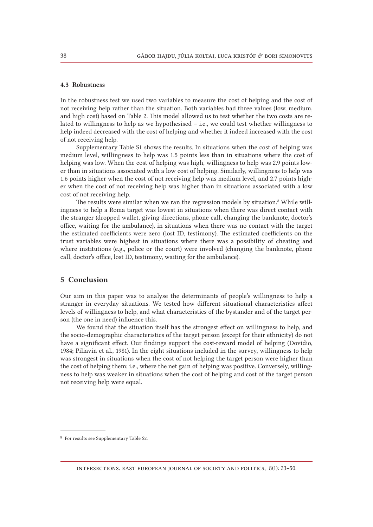## 4.3 Robustness

In the robustness test we used two variables to measure the cost of helping and the cost of not receiving help rather than the situation. Both variables had three values (low, medium, and high cost) based on Table 2. This model allowed us to test whether the two costs are related to willingness to help as we hypothesised – i.e., we could test whether willingness to help indeed decreased with the cost of helping and whether it indeed increased with the cost of not receiving help.

Supplementary Table S1 shows the results. In situations when the cost of helping was medium level, willingness to help was 1.5 points less than in situations where the cost of helping was low. When the cost of helping was high, willingness to help was 2.9 points lower than in situations associated with a low cost of helping. Similarly, willingness to help was 1.6 points higher when the cost of not receiving help was medium level, and 2.7 points higher when the cost of not receiving help was higher than in situations associated with a low cost of not receiving help.

The results were similar when we ran the regression models by situation.<sup>8</sup> While willingness to help a Roma target was lowest in situations when there was direct contact with the stranger (dropped wallet, giving directions, phone call, changing the banknote, doctor's office, waiting for the ambulance), in situations when there was no contact with the target the estimated coefficients were zero (lost ID, testimony). The estimated coefficients on the trust variables were highest in situations where there was a possibility of cheating and where institutions (e.g., police or the court) were involved (changing the banknote, phone call, doctor's office, lost ID, testimony, waiting for the ambulance).

## 5 Conclusion

Our aim in this paper was to analyse the determinants of people's willingness to help a stranger in everyday situations. We tested how different situational characteristics affect levels of willingness to help, and what characteristics of the bystander and of the target person (the one in need) influence this.

We found that the situation itself has the strongest effect on willingness to help, and the socio-demographic characteristics of the target person (except for their ethnicity) do not have a significant effect. Our findings support the cost-reward model of helping (Dovidio, 1984; Piliavin et al., 1981). In the eight situations included in the survey, willingness to help was strongest in situations when the cost of not helping the target person were higher than the cost of helping them; i.e., where the net gain of helping was positive. Conversely, willingness to help was weaker in situations when the cost of helping and cost of the target person not receiving help were equal.

<sup>8</sup> For results see Supplementary Table S2.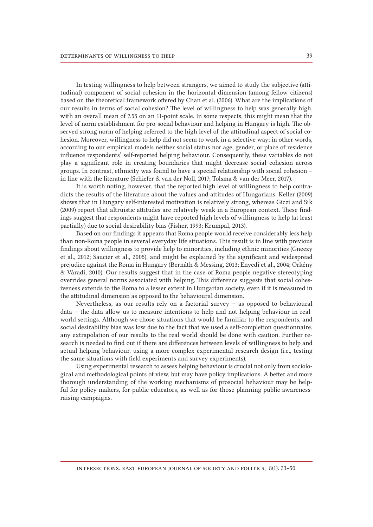In testing willingness to help between strangers, we aimed to study the subjective (attitudinal) component of social cohesion in the horizontal dimension (among fellow citizens) based on the theoretical framework offered by Chan et al. (2006). What are the implications of our results in terms of social cohesion? The level of willingness to help was generally high, with an overall mean of 7.55 on an 11-point scale. In some respects, this might mean that the level of norm establishment for pro-social behaviour and helping in Hungary is high. The observed strong norm of helping referred to the high level of the attitudinal aspect of social cohesion. Moreover, willingness to help did not seem to work in a selective way; in other words, according to our empirical models neither social status nor age, gender, or place of residence influence respondents' self-reported helping behaviour. Consequently, these variables do not play a significant role in creating boundaries that might decrease social cohesion across groups. In contrast, ethnicity was found to have a special relationship with social cohesion – in line with the literature (Schiefer & van der Noll, 2017; Tolsma & van der Meer, 2017).

It is worth noting, however, that the reported high level of willingness to help contradicts the results of the literature about the values and attitudes of Hungarians. Keller (2009) shows that in Hungary self-interested motivation is relatively strong, whereas Giczi and Sik (2009) report that altruistic attitudes are relatively weak in a European context. These findings suggest that respondents might have reported high levels of willingness to help (at least partially) due to social desirability bias (Fisher, 1993; Krumpal, 2013).

Based on our findings it appears that Roma people would receive considerably less help than non-Roma people in several everyday life situations. This result is in line with previous findings about willingness to provide help to minorities, including ethnic minorities (Gneezy et al., 2012; Saucier et al., 2005), and might be explained by the significant and widespread prejudice against the Roma in Hungary (Bernáth & Messing, 2013; Enyedi et al., 2004; Örkény & Váradi, 2010). Our results suggest that in the case of Roma people negative stereotyping overrides general norms associated with helping. This difference suggests that social cohesiveness extends to the Roma to a lesser extent in Hungarian society, even if it is measured in the attitudinal dimension as opposed to the behavioural dimension.

Nevertheless, as our results rely on a factorial survey – as opposed to behavioural data – the data allow us to measure intentions to help and not helping behaviour in realworld settings. Although we chose situations that would be familiar to the respondents, and social desirability bias was low due to the fact that we used a self-completion questionnaire, any extrapolation of our results to the real world should be done with caution. Further research is needed to find out if there are differences between levels of willingness to help and actual helping behaviour, using a more complex experimental research design (i.e., testing the same situations with field experiments and survey experiments).

Using experimental research to assess helping behaviour is crucial not only from sociological and methodological points of view, but may have policy implications. A better and more thorough understanding of the working mechanisms of prosocial behaviour may be helpful for policy makers, for public educators, as well as for those planning public awarenessraising campaigns.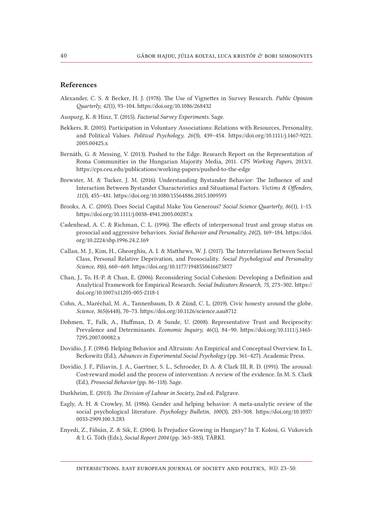## References

- Alexander, C. S. & Becker, H. J. (1978). The Use of Vignettes in Survey Research. *Public Opinion Quarterly, 42*(1), 93–104.<https://doi.org/10.1086/268432>
- Auspurg, K. & Hinz, T. (2015). *Factorial Survey Experiments.* Sage.
- Bekkers, R. (2005). Participation in Voluntary Associations: Relations with Resources, Personality, and Political Values. *Political Psychology, 26*(3), 439–454. [https://doi.org/10.1111/j.1467-9221.](https://doi.org/10.1111/j.1467-9221.2005.00425.x) [2005.00425.x](https://doi.org/10.1111/j.1467-9221.2005.00425.x)
- Bernáth, G. & Messing, V. (2013). Pushed to the Edge. Research Report on the Representation of Roma Communities in the Hungarian Majority Media, 2011. *CPS Working Papers,* 2013/1. https://cps.ceu.edu/publications/working-papers/pushed-to-the-edge
- Brewster, M. & Tucker, J. M. (2016). Understanding Bystander Behavior: The Influence of and Interaction Between Bystander Characteristics and Situational Factors. *Victims & Offenders*, *11*(3), 455–481. https://doi.org/10.1080/15564886.2015.1009593
- Brooks, A. C. (2005). Does Social Capital Make You Generous? *Social Science Quarterly, 86*(1), 1–15. https://doi.org/10.1111/j.0038-4941.2005.00287.x
- Cadenhead, A. C. & Richman, C. L. (1996). The effects of interpersonal trust and group status on prosocial and aggressive behaviors. *Social Behavior and Personality, 24*(2), 169–184. [https://doi.](https://doi.org/10.2224/sbp.1996.24.2.169) [org/10.2224/sbp.1996.24.2.169](https://doi.org/10.2224/sbp.1996.24.2.169)
- Callan, M. J., Kim, H., Gheorghiu, A. I. & Matthews, W. J. (2017). The Interrelations Between Social Class, Personal Relative Deprivation, and Prosociality. *Social Psychological and Personality Science*, *8*(6), 660–669. https://doi.org/10.1177/1948550616673877
- Chan, J., To, H.-P. & Chan, E. (2006). Reconsidering Social Cohesion: Developing a Definition and Analytical Framework for Empirical Research. *Social Indicators Research, 75*, 273–302. https:// doi.org/10.1007/s11205-005-2118-1
- Cohn, A., Maréchal, M. A., Tannenbaum, D. & Zünd, C. L. (2019). Civic honesty around the globe. *Science, 365*(6448), 70–73. https://doi.org/10.1126/science.aau8712
- Dohmen, T., Falk, A., Huffman, D. & Sunde, U. (2008). Representative Trust and Reciprocity: Prevalence and Determinants. *Economic Inquiry, 46*(1), 84–90. https://doi.org/10.1111/j.1465- 7295.2007.00082.x
- Dovidio, J. F. (1984). Helping Behavior and Altruism: An Empirical and Conceptual Overview. In L. Berkowitz (Ed.), *Advances in Experimental Social Psychology* (pp. 361–427). Academic Press.
- Dovidio, J. F., Piliavin, J. A., Gaertner, S. L., Schroeder, D. A. & Clark III, R. D. (1991). The arousal: Cost-reward model and the process of intervention: A review of the evidence. In M. S. Clark (Ed.), *Prosocial Behavior* (pp. 86–118). Sage.
- Durkheim, E. (2013). *The Division of Labour in Society,* 2nd ed. Palgrave.
- Eagly, A. H. & Crowley, M. (1986). Gender and helping behavior: A meta-analytic review of the social psychological literature. *Psychology Bulletin, 100*(3), 283–308. [https://doi.org/10.1037/](https://doi.org/10.1037/0033-2909.100.3.283) [0033-2909.100.3.283](https://doi.org/10.1037/0033-2909.100.3.283)
- Enyedi, Z., Fábián, Z. & Sik, E. (2004). Is Prejudice Growing in Hungary? In T. Kolosi, G. Vukovich & I. G. Tóth (Eds.), *Social Report 2004* (pp. 363–385). TÁRKI.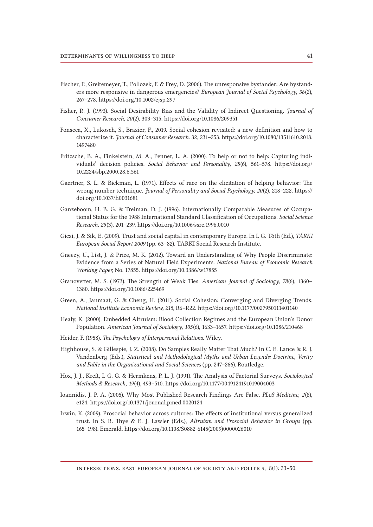- Fischer, P., Greitemeyer, T., Pollozek, F. & Frey, D. (2006). The unresponsive bystander: Are bystanders more responsive in dangerous emergencies? *European Journal of Social Psychology*, *36*(2), 267–278. https://doi.org/10.1002/ejsp.297
- Fisher, R. J. (1993). Social Desirability Bias and the Validity of Indirect Questioning. *Journal of Consumer Research, 20*(2), 303–315. https://doi.org/10.1086/209351
- Fonseca, X., Lukosch, S., Brazier, F., 2019. Social cohesion revisited: a new definition and how to characterize it. *Journal of Consumer Research*. 32, 231–253. [https://doi.org/10.1080/13511610.2018.](https://doi.org/10.1080/13511610.2018.1497480) [1497480](https://doi.org/10.1080/13511610.2018.1497480)
- Fritzsche, B. A., Finkelstein, M. A., Penner, L. A. (2000). To help or not to help: Capturing individuals' decision policies. *Social Behavior and Personality, 28*(6), 561–578. [https://doi.org/](https://doi.org/10.2224/sbp.2000.28.6.561) [10.2224/sbp.2000.28.6.561](https://doi.org/10.2224/sbp.2000.28.6.561)
- Gaertner, S. L. & Bickman, L. (1971). Effects of race on the elicitation of helping behavior: The wrong number technique. *Journal of Personality and Social Psychology, 20*(2), 218–222. https:// doi.org/10.1037/h0031681
- Ganzeboom, H. B. G. & Treiman, D. J. (1996). Internationally Comparable Measures of Occupational Status for the 1988 International Standard Classification of Occupations. *Social Science Research, 25*(3), 201–239. https://doi.org/10.1006/ssre.1996.0010
- Giczi, J. & Sik, E. (2009). Trust and social capital in contemporary Europe. In I. G. Tóth (Ed.), *TÁRKI European Social Report 2009* (pp. 63–82)*.* TÁRKI Social Research Institute.
- Gneezy, U., List, J. & Price, M. K. (2012). Toward an Understanding of Why People Discriminate: Evidence from a Series of Natural Field Experiments. *National Bureau of Economic Research Working Paper,* No. 17855. https://doi.org/10.3386/w17855
- Granovetter, M. S. (1973). The Strength of Weak Ties. *American Journal of Sociology, 78*(6), 1360– 1380. https://doi.org/10.1086/225469
- Green, A., Janmaat, G. & Cheng, H. (2011). Social Cohesion: Converging and Diverging Trends. *National Institute Economic Review, 215,* R6–R22. https://doi.org/10.1177/0027950111401140
- Healy, K. (2000). Embedded Altruism: Blood Collection Regimes and the European Union's Donor Population. *American Journal of Sociology, 105*(6), 1633–1657. https://doi.org/10.1086/210468
- Heider, F. (1958). *The Psychology of Interpersonal Relations.* Wiley.
- Highhouse, S. & Gillespie, J. Z. (2008). Do Samples Really Matter That Much? In C. E. Lance & R. J. Vandenberg (Eds.), *Statistical and Methodological Myths and Urban Legends: Doctrine, Verity and Fable in the Organizational and Social Sciences* (pp. 247–266)*.* Routledge.
- Hox, J. J., Kreft, I. G. G. & Hermkens, P. L. J. (1991). The Analysis of Factorial Surveys. *Sociological Methods & Research, 19*(4), 493–510. https://doi.org/10.1177/0049124191019004003
- Ioannidis, J. P. A. (2005). Why Most Published Research Findings Are False. *PLoS Medicine, 2*(8), e124. https://doi.org/10.1371/journal.pmed.0020124
- Irwin, K. (2009). Prosocial behavior across cultures: The effects of institutional versus generalized trust. In S. R. Thye & E. J. Lawler (Eds.), *Altruism and Prosocial Behavior in Groups* (pp. 165–198). Emerald. [https://doi.org/10.1108/S0882-6145\(2009\)0000026010](https://doi.org/10.1108/S0882-6145%282009%290000026010)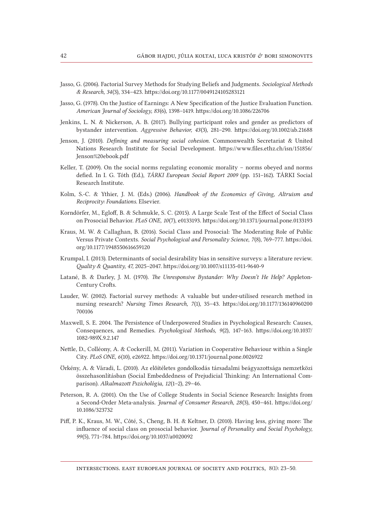- Jasso, G. (2006). Factorial Survey Methods for Studying Beliefs and Judgments. *Sociological Methods & Research, 34*(3), 334–423. https://doi.org/10.1177/0049124105283121
- Jasso, G. (1978). On the Justice of Earnings: A New Specification of the Justice Evaluation Function. *American Journal of Sociology, 83*(6), 1398–1419. https://doi.org/10.1086/226706
- Jenkins, L. N. & Nickerson, A. B. (2017). Bullying participant roles and gender as predictors of bystander intervention. *Aggressive Behavior, 43*(3), 281–290. https://doi.org/10.1002/ab.21688
- Jenson, J. (2010). *Defining and measuring social cohesion*. Commonwealth Secretariat & United Nations Research Institute for Social Development. [https://www.files.ethz.ch/isn/151856/](https://www.files.ethz.ch/isn/151856/Jenson%2520ebook.pdf) [Jenson%20ebook.pdf](https://www.files.ethz.ch/isn/151856/Jenson%2520ebook.pdf)
- Keller, T. (2009). On the social norms regulating economic morality norms obeyed and norms defied. In I. G. Tóth (Ed.), *TÁRKI European Social Report 2009* (pp. 151–162)*.* TÁRKI Social Research Institute.
- Kolm, S.-C. & Ythier, J. M. (Eds.) (2006). *Handbook of the Economics of Giving, Altruism and Reciprocity: Foundations.* Elsevier.
- Korndörfer, M., Egloff, B. & Schmukle, S. C. (2015). A Large Scale Test of the Effect of Social Class on Prosocial Behavior. *PLoS ONE, 10*(7), e0133193. https://doi.org/10.1371/journal.pone.0133193
- Kraus, M. W. & Callaghan, B. (2016). Social Class and Prosocial: The Moderating Role of Public Versus Private Contexts. *Social Psychological and Personality Science*, *7*(8), 769–777. [https://doi.](https://doi.org/10.1177/1948550616659120) [org/10.1177/1948550616659120](https://doi.org/10.1177/1948550616659120)
- Krumpal, I. (2013). Determinants of social desirability bias in sensitive surveys: a literature review. *Quality & Quantity, 47,* 2025–2047. https://doi.org/10.1007/s11135-011-9640-9
- Latané, B. & Darley, J. M. (1970). *The Unresponsive Bystander: Why Doesn't He Help?* Appleton-Century Crofts.
- Lauder, W. (2002). Factorial survey methods: A valuable but under-utilised research method in nursing research? *Nursing Times Research, 7*(1), 35–43. [https://doi.org/10.1177/136140960200](https://doi.org/10.1177/136140960200700106) [700106](https://doi.org/10.1177/136140960200700106)
- Maxwell, S. E. 2004. The Persistence of Underpowered Studies in Psychological Research: Causes, Consequences, and Remedies. *Psychological Methods, 9*(2), 147–163. [https://doi.org/10.1037/](https://doi.org/10.1037/1082-989X.9.2.147) [1082-989X.9.2.147](https://doi.org/10.1037/1082-989X.9.2.147)
- Nettle, D., Colléony, A. & Cockerill, M. (2011). Variation in Cooperative Behaviour within a Single City. *PLoS ONE, 6*(10), e26922. https://doi.org/10.1371/journal.pone.0026922
- Örkény, A. & Váradi, L. (2010). Az előítéletes gondolkodás társadalmi beágyazottsága nemzetközi összehasonlításban (Social Embeddedness of Prejudicial Thinking: An International Comparison). *Alkalmazott Pszichológia, 12*(1–2), 29–46.
- Peterson, R. A. (2001). On the Use of College Students in Social Science Research: Insights from a Second-Order Meta-analysis. *Journal of Consumer Research, 28*(3), 450–461. [https://doi.org/](https://doi.org/10.1086/323732) [10.1086/323732](https://doi.org/10.1086/323732)
- Piff, P. K., Kraus, M. W., Côté, S., Cheng, B. H. & Keltner, D. (2010). Having less, giving more: The influence of social class on prosocial behavior. *Journal of Personality and Social Psychology, 99*(5), 771–784. https://doi.org/10.1037/a0020092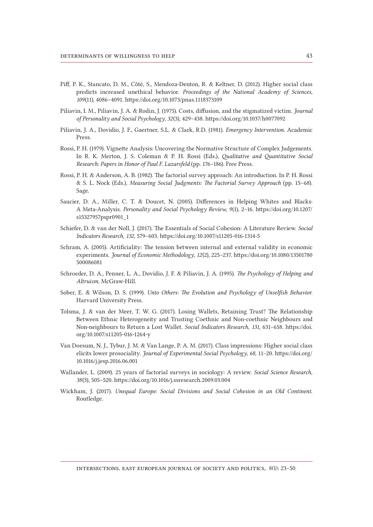- Piff, P. K., Stancato, D. M., Côté, S., Mendoza-Denton, R. & Keltner, D. (2012). Higher social class predicts increased unethical behavior. *Proceedings of the National Academy of Sciences, 109*(11), 4086–4091. https://doi.org/10.1073/pnas.1118373109
- Piliavin, I. M., Piliavin, J. A. & Rodin, J. (1975). Costs, diffusion, and the stigmatized victim. *Journal of Personality and Social Psychology, 32*(3), 429–438. https://doi.org/10.1037/h0077092
- Piliavin, J. A., Dovidio, J. F., Gaertner, S.L. & Clark, R.D. (1981). *Emergency Intervention.* Academic Press.
- Rossi, P. H. (1979). Vignette Analysis: Uncovering the Normative Structure of Complex Judgements. In R. K. Merton, J. S. Coleman & P. H. Rossi (Eds.), *Qualitative and Quantitative Social Research: Papers in Honor of Paul F. Lazarsfeld* (pp. 176–186). Free Press.
- Rossi, P. H. & Anderson, A. B. (1982). The factorial survey approach: An introduction. In P. H. Rossi & S. L. Nock (Eds.), *Measuring Social Judgments: The Factorial Survey Approach* (pp. 15–68)*.* Sage.
- Saucier, D. A., Miller, C. T. & Doucet, N. (2005). Differences in Helping Whites and Blacks: A Meta-Analysis. *Personality and Social Psychology Review, 9*(1), 2–16. [https://doi.org/10.1207/](https://doi.org/10.1207/s15327957pspr0901_1) [s15327957pspr0901\\_1](https://doi.org/10.1207/s15327957pspr0901_1)
- Schiefer, D. & van der Noll, J. (2017). The Essentials of Social Cohesion: A Literature Review. *Social Indicators Research, 132,* 579–603. https://doi.org/10.1007/s11205-016-1314-5
- Schram, A. (2005). Artificiality: The tension between internal and external validity in economic experiments. *Journal of Economic Methodology, 12*(2), 225–237. [https://doi.org/10.1080/13501780](https://doi.org/10.1080/13501780500086081) [500086081](https://doi.org/10.1080/13501780500086081)
- Schroeder, D. A., Penner, L. A., Dovidio, J. F. & Piliavin, J. A. (1995). *The Psychology of Helping and Altruism.* McGraw-Hill.
- Sober, E. & Wilson, D. S. (1999). *Unto Others: The Evolution and Psychology of Unselfish Behavior.* Harvard University Press.
- Tolsma, J. & van der Meer, T. W. G. (2017). Losing Wallets, Retaining Trust? The Relationship Between Ethnic Heterogeneity and Trusting Coethnic and Non-coethnic Neighbours and Non-neighbours to Return a Lost Wallet. *Social Indicators Research, 131,* 631–658. [https://doi.](https://doi.org/10.1007/s11205-016-1264-y) [org/10.1007/s11205-016-1264-y](https://doi.org/10.1007/s11205-016-1264-y)
- Van Doesum, N. J., Tybur, J. M. & Van Lange, P. A. M. (2017). Class impressions: Higher social class elicits lower prosociality. *Journal of Experimental Social Psychology, 68,* 11–20. [https://doi.org/](https://doi.org/10.1016/j.jesp.2016.06.001) [10.1016/j.jesp.2016.06.001](https://doi.org/10.1016/j.jesp.2016.06.001)
- Wallander, L. (2009). 25 years of factorial surveys in sociology: A review. *Social Science Research, 38*(3), 505–520. https://doi.org/10.1016/j.ssresearch.2009.03.004
- Wickham, J. (2017). *Unequal Europe: Social Divisions and Social Cohesion in an Old Continent*. Routledge.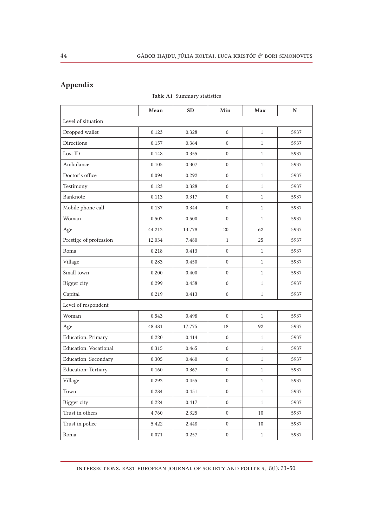## Appendix

# Mean SD Min Max N Level of situation Dropped wallet 1 0.123 0.328 0 1 5937 Directions 1 0.157 0.364 0 1 5937 Lost ID  $\begin{array}{|c|c|c|c|c|c|c|c|c|} \hline \end{array}$  0.148 0.355 0 1 1 5937 Ambulance 1 0.105 0.307 0 1 5937 Doctor's office 1 0.094 0.292 0 1 5937 Testimony 1 0.123 0.328 0 1 5937 Banknote 1 0.113 0.317 0 1 5937 Mobile phone call  $\begin{array}{|c|c|c|c|c|c|c|c|c|} \hline 0.137 & 0.344 & 0 & 1 & 5937 \ \hline \end{array}$ Woman 1 0.503 0.500 0 1 5937 Age 14.213 13.778 20 62 5937 Prestige of profession 12.034 7.480 1 25 5937 Roma 1 0.218 0.413 0 1 5937 Village 1 0.283 0.450 0 1 5937 Small town 0.200 0.400 0 1 5937 Bigger city 0.299 0.458 0 1 5937 Capital 1 0.219 0.413 0 1 5937 Level of respondent Woman 1 0.543 0.498 0 1 5937 Age 18 13.481 17.775 18 92 5937 Education: Primary 1 0.220 0.414 0 1 5937 Education: Vocational 0.315 0.465 0 1 5937 Education: Secondary 1 0.305 0.460 0 1 5937 Education: Tertiary 1 0.160 0.367 0 1 5937 Village 1 0.293 0.455 0 1 5937 Town 1 0.284 0.451 0 1 5937 Bigger city **b** 0.224 0.417 0 1 5937 Trust in others 1.760 2.325 0 10 5937 Trust in police  $\begin{vmatrix} 5.422 & 2.448 & 0 & 10 \\ 0 & 10 & 5937 \end{vmatrix}$ Roma 1 0.071 0.257 0 1 5937

#### Table A1 Summary statistics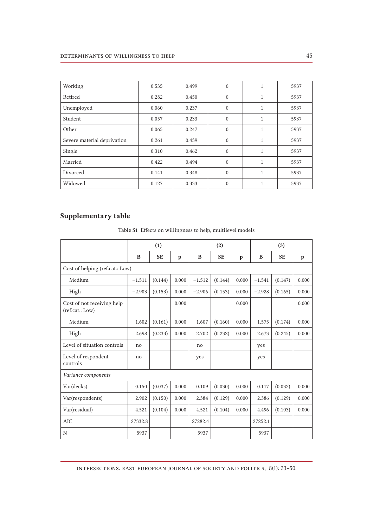| Working                     | 0.535 | 0.499 | $\theta$ | 1            | 5937 |
|-----------------------------|-------|-------|----------|--------------|------|
| Retired                     | 0.282 | 0.450 | $\theta$ | $\mathbf{1}$ | 5937 |
| Unemployed                  | 0.060 | 0.237 | $\theta$ | $\mathbf{1}$ | 5937 |
| Student                     | 0.057 | 0.233 | $\theta$ | 1            | 5937 |
| Other                       | 0.065 | 0.247 | $\theta$ | $\mathbf{1}$ | 5937 |
| Severe material deprivation | 0.261 | 0.439 | $\theta$ | 1            | 5937 |
| Single                      | 0.310 | 0.462 | $\theta$ | 1            | 5937 |
| Married                     | 0.422 | 0.494 | $\theta$ | 1            | 5937 |
| Divorced                    | 0.141 | 0.348 | $\theta$ | 1            | 5937 |
| Widowed                     | 0.127 | 0.333 | $\theta$ |              | 5937 |

## Supplementary table

|  | Table S1 Effects on willingness to help, multilevel models |
|--|------------------------------------------------------------|
|--|------------------------------------------------------------|

|                                               | (1)      |           |       |          | (2)       |       | (3)      |           |              |
|-----------------------------------------------|----------|-----------|-------|----------|-----------|-------|----------|-----------|--------------|
|                                               | B        | <b>SE</b> | p     | B        | <b>SE</b> | p     | B        | <b>SE</b> | $\mathbf{p}$ |
| Cost of helping (ref.cat.: Low)               |          |           |       |          |           |       |          |           |              |
| Medium                                        | $-1.511$ | (0.144)   | 0.000 | $-1.512$ | (0.144)   | 0.000 | $-1.541$ | (0.147)   | 0.000        |
| High                                          | $-2.903$ | (0.153)   | 0.000 | $-2.906$ | (0.153)   | 0.000 | $-2.928$ | (0.165)   | 0.000        |
| Cost of not receiving help<br>(ref.cat.: Low) |          |           | 0.000 |          |           | 0.000 |          |           | 0.000        |
| Medium                                        | 1.602    | (0.161)   | 0.000 | 1.607    | (0.160)   | 0.000 | 1.575    | (0.174)   | 0.000        |
| High                                          | 2.698    | (0.233)   | 0.000 | 2.702    | (0.232)   | 0.000 | 2.673    | (0.245)   | 0.000        |
| Level of situation controls                   | no       |           |       | no       |           |       | yes      |           |              |
| Level of respondent<br>controls               | no       |           |       | yes      |           |       | yes      |           |              |
| Variance components                           |          |           |       |          |           |       |          |           |              |
| Var(decks)                                    | 0.150    | (0.037)   | 0.000 | 0.109    | (0.030)   | 0.000 | 0.117    | (0.032)   | 0.000        |
| Var(respondents)                              | 2.902    | (0.150)   | 0.000 | 2.384    | (0.129)   | 0.000 | 2.386    | (0.129)   | 0.000        |
| Var(residual)                                 | 4.521    | (0.104)   | 0.000 | 4.521    | (0.104)   | 0.000 | 4.496    | (0.103)   | 0.000        |
| <b>AIC</b>                                    | 27332.8  |           |       | 27282.4  |           |       | 27252.1  |           |              |
| N                                             | 5937     |           |       | 5937     |           |       | 5937     |           |              |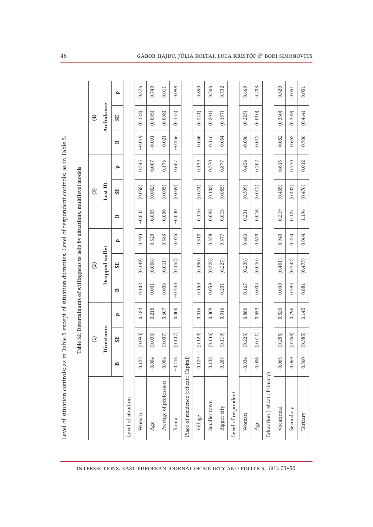| Į      |  |
|--------|--|
|        |  |
|        |  |
|        |  |
|        |  |
|        |  |
|        |  |
|        |  |
|        |  |
|        |  |
|        |  |
|        |  |
|        |  |
|        |  |
|        |  |
|        |  |
|        |  |
|        |  |
| ֚֘֝֕   |  |
| j      |  |
|        |  |
|        |  |
|        |  |
|        |  |
|        |  |
|        |  |
|        |  |
|        |  |
|        |  |
|        |  |
| l      |  |
|        |  |
|        |  |
|        |  |
|        |  |
|        |  |
| l      |  |
| י<br>ו |  |
|        |  |
|        |  |
| ֡֡֡    |  |
|        |  |
|        |  |
|        |  |
|        |  |
|        |  |
|        |  |
|        |  |
|        |  |
|        |  |
|        |  |
|        |  |
| ֚֘֝֕   |  |
| l      |  |

Table S2: Determinants of willingness to help by situations, multilevel models Table S2: Determinants of willingness to help by situations, multilevel models

|                                        |                     | $\widehat{\Xi}$ |       |              | $\mathcal{L}$  |              |          | $\mathbf{G}$ |       |          | $\bigoplus$ |       |
|----------------------------------------|---------------------|-----------------|-------|--------------|----------------|--------------|----------|--------------|-------|----------|-------------|-------|
|                                        |                     | Directions      |       |              | Dropped wallet |              |          | LossID       |       |          | Ambulance   |       |
|                                        | $\mathbf{B}$        | SE <sub></sub>  | P     | $\mathbf{r}$ | SE <sub></sub> | $\mathbf{p}$ | ≏        | SE           | P     | ≏        | SE          | ≏     |
| Level of situation                     |                     |                 |       |              |                |              |          |              |       |          |             |       |
| Woman                                  | 23<br>0.1           | (0.093)         | 0.183 | 0.102        | (0.149)        | 0.493        | $-0.035$ | (0.058)      | 0.545 | $-0.019$ | (0.122)     | 0.876 |
| Age                                    | $-0.004$            | (0.003)         | 0.218 | 0.001        | (0.006)        | 0.820        | $-0.005$ | (0.002)      | 0.007 | $-0.001$ | (0.005)     | 0.749 |
| Prestige of profession                 | 0.004               | (0.007)         | 0.607 | $-0.006$     | (0.011)        | 0.583        | $-0.006$ | (0.005)      | 0.176 | 0.021    | (0.008)     | 0.011 |
| Roma                                   | $-0.416$            | (0.107)         | 0.000 | $-0.340$     | (0.152)        | 0.025        | $-0.030$ | (0.059)      | 0.607 | $-0.256$ | (0.155)     | 0.098 |
| Place of residence (ref.cat.: Capital) |                     |                 |       |              |                |              |          |              |       |          |             |       |
| Village                                | 29<br>$-0.1$        | (0.129)         | 0.316 | $-0.150$     | (0.150)        | 0.318        | 0.110    | (0.074)      | 0.139 | 0.046    | (0.241)     | 0.850 |
| Smaller town                           | 38<br>$\frac{1}{2}$ | (0.136)         | 0.309 | 0.059        | (0.328)        | 0.858        | 0.092    | (0.102)      | 0.370 | 0.116    | (0.201)     | 0.566 |
| Bigger city                            | $-0.285$            | (0.119)         | 0.016 | $-0.201$     | (0.227)        | 0.377        | 0.013    | (0.085)      | 0.877 | 0.054    | (0.157)     | 0.732 |
| Level of respondent                    |                     |                 |       |              |                |              |          |              |       |          |             |       |
| Woman                                  | $-0.034$            | (0.223)         | 0.880 | 0.167        | (0.238)        | 0.483        | 0.231    | (0.309)      | 0.454 | $-0.096$ | (0.225)     | 0.669 |
| Age                                    | 0.006               | (0.011)         | 0.553 | $-0.004$     | (0.010)        | 0.679        | 0.016    | (0.012)      | 0.202 | 0.012    | (0.010)     | 0.203 |
| Education (ref.cat.: Primary)          |                     |                 |       |              |                |              |          |              |       |          |             |       |
| Vocational                             | $-0.065$            | (0.285)         | 0.820 | 0.030        | (0.401)        | 0.940        | 0.219    | (0.435)      | 0.615 | 0.082    | (0.360)     | 0.820 |
| Secondary                              | 0.069               | (0.268)         | 0.796 | 0.393        | (0.342)        | 0.250        | 0.127    | (0.433)      | 0.770 | 0.662    | (0.339)     | 0.051 |
| Tertiary                               | 0.560               | (0.385)         | 0.145 | 0.881        | (0.475)        | 0.064        | 1.196    | (0.476)      | 0.012 | 0.906    | (0.464)     | 0.051 |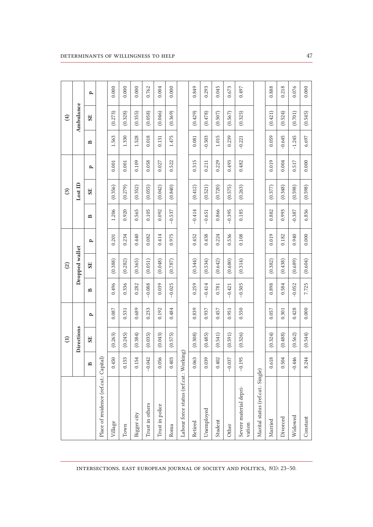|                                         |                          | $\widehat{E}$  |       |              | $\widehat{c}$  |              |          | $\mathfrak{S}$ |              |          | $\bigoplus$ |              |
|-----------------------------------------|--------------------------|----------------|-------|--------------|----------------|--------------|----------|----------------|--------------|----------|-------------|--------------|
|                                         |                          | Directions     |       |              | Dropped wallet |              |          | LossID         |              |          | Ambulance   |              |
|                                         | $\mathbf{p}$             | SE <sub></sub> | ≏     | $\mathbf{r}$ | SE <sub></sub> | $\mathbf{p}$ | ≏        | SE             | $\mathbf{p}$ | ≏        | SE          | $\mathbf{p}$ |
| Place of residence (ref.cat.: Capital)  |                          |                |       |              |                |              |          |                |              |          |             |              |
| Village                                 | 50<br>0.4                | (0.263)        | 0.087 | 0.496        | (0.388)        | 0.201        | 1.206    | (0.356)        | 0.001        | 1.563    | (0.273)     | 0.000        |
| Town                                    | 53<br>$\overline{0}$ .   | (0.245)        | 0.531 | 0.336        | (0.282)        | 0.234        | 0.920    | (0.279)        | 0.001        | 1.330    | (0.328)     | 0.000        |
| Bigger city                             | 54<br>$\overline{0}$     | (0.384)        | 0.689 | 0.282        | (0.365)        | 0.440        | 0.565    | (0.352)        | 0.109        | 1.528    | (0.355)     | 0.000        |
| Trust in others                         | 42<br>$-0.0$             | (0.035)        | 0.233 | $-0.088$     | (0.051)        | 0.082        | 0.105    | (0.055)        | 0.058        | 0.018    | (0.058)     | 0.762        |
| Trust in police                         | 56<br>$\overline{0}$ .   | (0.043)        | 0.192 | 0.039        | (0.048)        | 0.414        | 0.092    | (0.042)        | 0.027        | 0.131    | (0.046)     | 0.004        |
| Roma                                    | $\mathfrak{S}$<br>0.4    | (0.575)        | 0.484 | $-0.025$     | (0.787)        | 0.975        | $-0.537$ | (0.840)        | 0.522        | 1.475    | (0.369)     | 0.000        |
| Labour force status (ref.cat.: Working) |                          |                |       |              |                |              |          |                |              |          |             |              |
| Retired                                 | 63<br>$\overline{0}$     | (0.308)        | 0.839 | 0.259        | (0.344)        | 0.452        | $-0.414$ | (0.412)        | 0.315        | 0.081    | (0.429)     | 0.849        |
| Unemployed                              | 39<br>0.0                | (0.485)        | 0.937 | $-0.414$     | (0.534)        | 0.438        | $-0.651$ | (0.521)        | 0.211        | $-0.503$ | (0.478)     | 0.293        |
| Student                                 | 0.402                    | (0.541)        | 0.457 | 0.781        | (0.642)        | 0.224        | 0.866    | (0.720)        | 0.229        | 1.015    | (0.507)     | 0.045        |
| Other                                   | 37<br>$-0.0$             | (0.591)        | 0.951 | $-0.421$     | (0.680)        | 0.536        | $-0.395$ | (0.575)        | 0.493        | 0.239    | (0.567)     | 0.673        |
| Severe material depri-<br>vation        | $-0.195$                 | (0.326)        | 0.550 | $-0.505$     | (0.314)        | 0.108        | 0.185    | (0.263)        | 0.482        | $-0.221$ | (0.325)     | 0.497        |
| Marital status (ref.cat.: Single)       |                          |                |       |              |                |              |          |                |              |          |             |              |
| Married                                 | $\frac{8}{18}$<br>0.6    | (0.324)        | 0.057 | 0.898        | (0.382)        | 0.019        | 0.882    | (0.377)        | 0.019        | 0.059    | (0.421)     | 0.888        |
| Divorced                                | $\beta$<br>$0.5^{\circ}$ | (0.488)        | 0.301 | 0.584        | (0.438)        | 0.182        | 0.993    | (0.348)        | 0.004        | $-0.645$ | (0.524)     | 0.218        |
| Widowed                                 | $-0.446$                 | (0.562)        | 0.428 | $-0.052$     | (0.689)        | 0.940        | $-0.387$ | (0.598)        | 0.517        | $-1.245$ | (0.701)     | 0.076        |
| Constant                                | 8.244                    | (0.544)        | 0.000 | 7.725        | (0.604)        | 0.000        | 6.856    | (0.598)        | 0.000        | 6.697    | (0.545)     | 0.000        |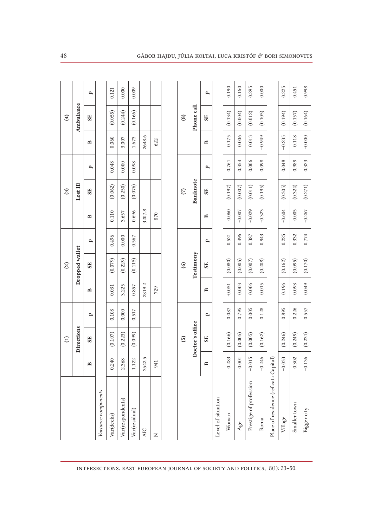|                                        |                      | $\widehat{E}$   |              |              | $\widehat{\omega}$ |              |          | $\mathfrak{S}$  |              |              | $\bigoplus$   |              |
|----------------------------------------|----------------------|-----------------|--------------|--------------|--------------------|--------------|----------|-----------------|--------------|--------------|---------------|--------------|
|                                        |                      | Directions      |              |              | Dropped wallet     |              |          | LossID          |              |              | Ambulance     |              |
|                                        | R                    | SE <sub></sub>  | $\mathbf{p}$ | ≏            | SE <sub></sub>     | $\mathbf{p}$ | ≏        | SE              | $\mathbf{p}$ | ≏            | SE            | $\mathbf{p}$ |
| Variance components                    |                      |                 |              |              |                    |              |          |                 |              |              |               |              |
| Var(decks)                             | ٥<br>0.24            | (0.107)         | 0.108        | 0.031        | (0.079)            | 0.496        | 0.110    | (0.062)         | 0.048        | 0.060        | (0.055)       | 0.121        |
| Var(respondents)                       | ${}^{\circ}$<br>2.36 | (0.223)         | 0.000        | 3.225        | (0.229)            | 0.000        | 3.657    | (0.250)         | 0.000        | 3.007        | (0.244)       | 0.000        |
| Var(residual)                          | Ñ<br>1.12            | (0.099)         | 0.517        | 0.857        | (0.115)            | 0.567        | 0.696    | (0.076)         | 0.098        | 1.673        | (0.166)       | 0.009        |
| <b>AIC</b>                             | ن<br>3542            |                 |              | 2819.2       |                    |              | 3207.8   |                 |              | 2648.6       |               |              |
| Z                                      | 941                  |                 |              | 729          |                    |              | 870      |                 |              | 622          |               |              |
|                                        |                      |                 |              |              |                    |              |          |                 |              |              |               |              |
|                                        |                      | $\overline{5}$  |              |              | $\odot$            |              |          | $\widehat{C}$   |              |              | $\circledast$ |              |
|                                        |                      | Doctor's office |              |              | Testimony          |              |          | <b>Banknote</b> |              |              | Phone call    |              |
|                                        | B                    | <b>SE</b>       | ≏            | $\mathbf{r}$ | SE <sub></sub>     | $\mathbf{p}$ | ≏        | <b>SE</b>       | ≏            | $\mathbf{p}$ | <b>SE</b>     | $\mathbf{p}$ |
| Level of situation                     |                      |                 |              |              |                    |              |          |                 |              |              |               |              |
| Woman                                  | 0.283                | (0.166)         | 0.087        | $-0.051$     | (0.080)            | 0.521        | 0.060    | (0.197)         | 0.761        | 0.175        | (0.134)       | 0.190        |
| Age                                    | 0.001                | (0.005)         | 0.795        | 0.003        | (0.005)            | 0.496        | $-0.007$ | (0.007)         | 0.354        | 0.006        | (0.004)       | 0.160        |
| Prestige of profession                 | Γņ<br>$-0.01$        | (0.005)         | 0.005        | 0.006        | (0.007)            | 0.387        | $-0.029$ | (0.011)         | 0.006        | 0.013        | (0.012)       | 0.295        |
| Roma                                   | $-0.246$             | (0.162)         | 0.128        | 0.015        | (0.208)            | 0.943        | $-0.323$ | (0.195)         | 0.098        | $-0.949$     | (0.105)       | 0.000        |
| Place of residence (ref.cat.: Capital) |                      |                 |              |              |                    |              |          |                 |              |              |               |              |
| Village                                | $-0.033$             | (0.246)         | 0.895        | 0.196        | (0.162)            | 0.225        | $-0.604$ | (0.305)         | 0.048        | $-0.235$     | (0.194)       | 0.225        |
| Smaller town                           | 0.302                | (0.249)         | 0.226        | 0.093        | (0.095)            | 0.332        | 0.005    | (0.324)         | 0.989        | 0.118        | (0.157)       | 0.451        |
| Bigger city                            | $-0.136$             | (0.231)         | 0.557        | 0.049        | (0.170)            | 0.774        | $-0.267$ | (0.271)         | 0.323        | $-0.000$     | (0.164)       | 0.998        |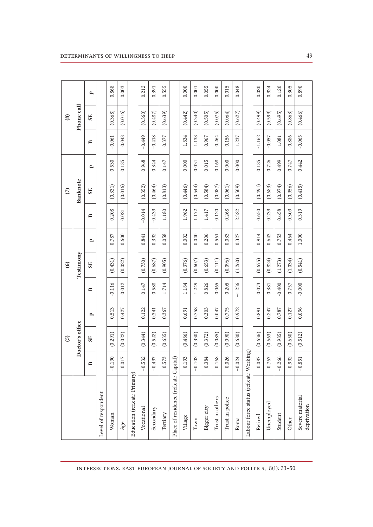|                                         |              | $\widehat{5}$   |       |          | $\odot$   |       |          | $\widehat{C}$  |       |              | $\circled{s}$  |       |
|-----------------------------------------|--------------|-----------------|-------|----------|-----------|-------|----------|----------------|-------|--------------|----------------|-------|
|                                         |              | Doctor's office |       |          | Testimony |       |          | Banknote       |       |              | Phone call     |       |
|                                         | $\mathbf{p}$ | SE <sub></sub>  | ≏     | ≏        | <b>SE</b> | ≏     | ≏        | SE <sub></sub> | ≏     | $\mathbf{r}$ | SE <sub></sub> | ≏     |
| Level of respondent                     |              |                 |       |          |           |       |          |                |       |              |                |       |
| Woman                                   | $-0.190$     | (0.291)         | 0.513 | $-0.116$ | (0.431)   | 0.787 | 0.208    | (0.331)        | 0.530 | $-0.061$     | (0.368)        | 0.868 |
| Age                                     | 0.017        | (0.022)         | 0.427 | 0.012    | (0.022)   | 0.600 | 0.021    | (0.016)        | 0.185 | 0.048        | (0.016)        | 0.003 |
| Education (ref.cat.: Primary)           |              |                 |       |          |           |       |          |                |       |              |                |       |
| Vocational                              | $-0.532$     | (0.344)         | 0.122 | 0.147    | (0.730)   | 0.841 | $-0.014$ | (0.352)        | 0.968 | $-0.449$     | (0.360)        | 0.212 |
| Secondary                               | $-0.497$     | (0.522)         | 0.341 | 0.588    | (0.687)   | 0.392 | $-0.439$ | (0.464)        | 0.344 | $-0.418$     | (0.487)        | 0.391 |
| Tertiary                                | 0.573        | (0.635)         | 0.367 | 1.714    | (0.905)   | 0.058 | 1.180    | (0.813)        | 0.147 | 0.377        | (0.639)        | 0.555 |
| Place of residence (ref.cat.: Capital)  |              |                 |       |          |           |       |          |                |       |              |                |       |
| Village                                 | 0.193        | (0.486)         | 0.691 | 1.184    | (0.376)   | 0.002 | 1.962    | (0.446)        | 0.000 | 1.834        | (0.442)        | 0.000 |
| Town                                    | $-0.102$     | (0.330)         | 0.758 | 1.249    | (0.607)   | 0.040 | 1.172    | (0.544)        | 0.031 | 1.138        | (0.340)        | 0.001 |
| Bigger city                             | 0.384        | (0.372)         | 0.303 | 0.826    | (0.653)   | 0.206 | 1.417    | (0.584)        | 0.015 | 0.967        | (0.505)        | 0.055 |
| Trust in others                         | 0.168        | (0.085)         | 0.047 | 0.065    | (0.111)   | 0.561 | 0.120    | (0.087)        | 0.168 | 0.264        | (0.075)        | 0.000 |
| Trust in police                         | 0.026        | (0.090)         | 0.775 | 0.205    | (0.096)   | 0.033 | 0.268    | (0.061)        | 0.000 | 0.156        | (0.064)        | 0.015 |
| Roma                                    | $-0.024$     | (0.680)         | 0.972 | $-1.236$ | (1.260)   | 0.327 | 2.322    | (0.509)        | 0.000 | 1.237        | (0.627)        | 0.048 |
| Labour force status (ref.cat.: Working) |              |                 |       |          |           |       |          |                |       |              |                |       |
| Retired                                 | 0.087        | (0.636)         | 0.891 | 0.073    | (0.675)   | 0.914 | 0.650    | (0.491)        | 0.185 | $-1.162$     | (0.499)        | 0.020 |
| Unemployed                              | 0.767        | (0.663)         | 0.247 | 0.381    | (0.824)   | 0.643 | 0.239    | (0.683)        | 0.726 | $-0.057$     | (0.599)        | 0.924 |
| Student                                 | 66<br>$-0.2$ | (0.985)         | 0.787 | $-0.400$ | (1.273)   | 0.753 | 0.658    | (0.974)        | 0.499 | 1.081        | (0.695)        | 0.120 |
| Other                                   | $-0.992$     | (0.650)         | 0.127 | 0.757    | (1.034)   | 0.464 | $-0.309$ | (0.956)        | 0.747 | $-0.886$     | (0.863)        | 0.305 |
| Severe material<br>deprivation          | $-0.851$     | (0.512)         | 0.096 | $-0.000$ | (0.541)   | 1.000 | 0.319    | (0.415)        | 0.442 | $-0.065$     | (0.466)        | 0.890 |